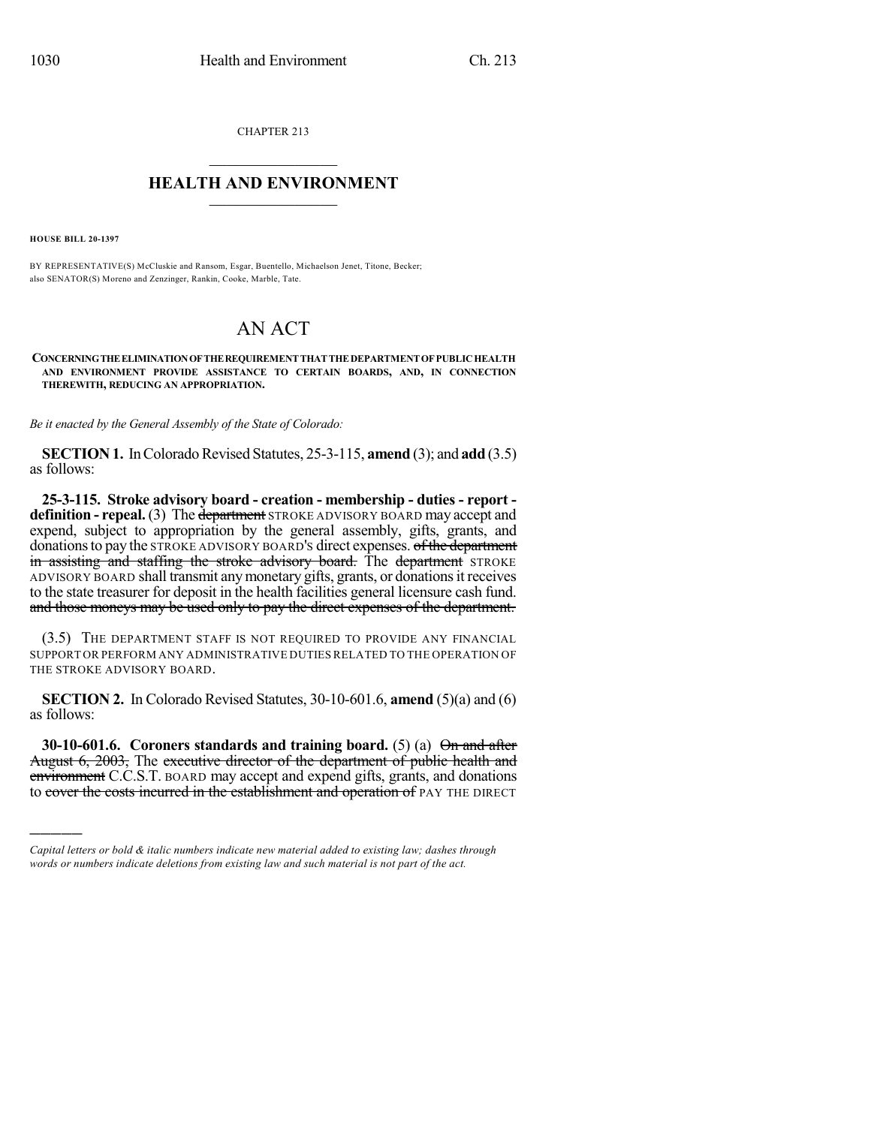CHAPTER 213  $\mathcal{L}_\text{max}$  . The set of the set of the set of the set of the set of the set of the set of the set of the set of the set of the set of the set of the set of the set of the set of the set of the set of the set of the set

## **HEALTH AND ENVIRONMENT**  $\_$

**HOUSE BILL 20-1397**

)))))

BY REPRESENTATIVE(S) McCluskie and Ransom, Esgar, Buentello, Michaelson Jenet, Titone, Becker; also SENATOR(S) Moreno and Zenzinger, Rankin, Cooke, Marble, Tate.

## AN ACT

**CONCERNINGTHEELIMINATIONOFTHEREQUIREMENTTHATTHEDEPARTMENTOFPUBLICHEALTH AND ENVIRONMENT PROVIDE ASSISTANCE TO CERTAIN BOARDS, AND, IN CONNECTION THEREWITH, REDUCING AN APPROPRIATION.**

*Be it enacted by the General Assembly of the State of Colorado:*

**SECTION 1.** In Colorado Revised Statutes, 25-3-115, **amend** (3); and **add** (3.5) as follows:

**25-3-115. Stroke advisory board - creation - membership - duties - report definition - repeal.** (3) The department STROKE ADVISORY BOARD may accept and expend, subject to appropriation by the general assembly, gifts, grants, and donations to pay the STROKE ADVISORY BOARD's direct expenses. of the department in assisting and staffing the stroke advisory board. The department STROKE ADVISORY BOARD shall transmit anymonetary gifts, grants, or donationsit receives to the state treasurer for deposit in the health facilities general licensure cash fund. and those moneys may be used only to pay the direct expenses of the department.

(3.5) THE DEPARTMENT STAFF IS NOT REQUIRED TO PROVIDE ANY FINANCIAL SUPPORT OR PERFORM ANY ADMINISTRATIVE DUTIES RELATED TO THE OPERATION OF THE STROKE ADVISORY BOARD.

**SECTION 2.** In Colorado Revised Statutes, 30-10-601.6, **amend** (5)(a) and (6) as follows:

**30-10-601.6. Coroners standards and training board.** (5) (a) On and after August 6, 2003, The executive director of the department of public health and environment C.C.S.T. BOARD may accept and expend gifts, grants, and donations to cover the costs incurred in the establishment and operation of PAY THE DIRECT

*Capital letters or bold & italic numbers indicate new material added to existing law; dashes through words or numbers indicate deletions from existing law and such material is not part of the act.*